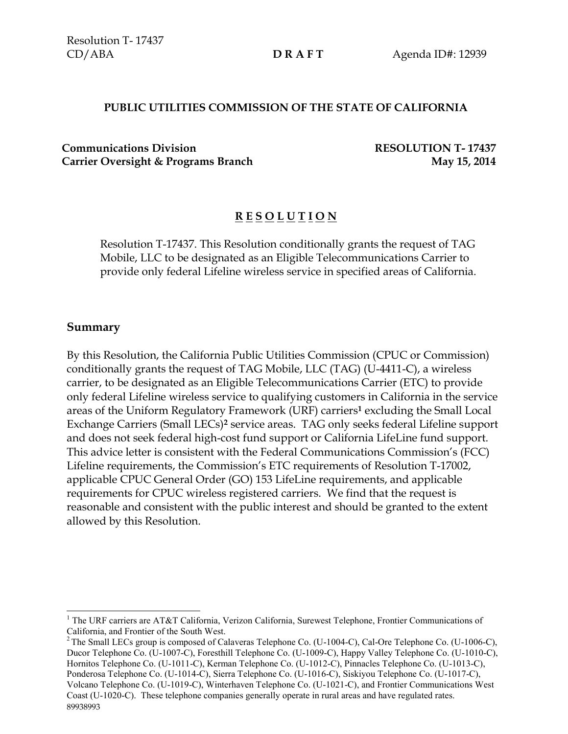### **PUBLIC UTILITIES COMMISSION OF THE STATE OF CALIFORNIA**

**Communications Division RESOLUTION T- 17437** Carrier Oversight & Programs Branch **May 15, 2014** 

# **R E S O L U T I O N**

Resolution T-17437. This Resolution conditionally grants the request of TAG Mobile, LLC to be designated as an Eligible Telecommunications Carrier to provide only federal Lifeline wireless service in specified areas of California.

### **Summary**

 $\overline{a}$ 

By this Resolution, the California Public Utilities Commission (CPUC or Commission) conditionally grants the request of TAG Mobile, LLC (TAG) (U-4411-C), a wireless carrier, to be designated as an Eligible Telecommunications Carrier (ETC) to provide only federal Lifeline wireless service to qualifying customers in California in the service areas of the Uniform Regulatory Framework (URF) carriers**<sup>1</sup>** excluding the Small Local Exchange Carriers (Small LECs)**<sup>2</sup>** service areas. TAG only seeks federal Lifeline support and does not seek federal high-cost fund support or California LifeLine fund support. This advice letter is consistent with the Federal Communications Commission's (FCC) Lifeline requirements, the Commission's ETC requirements of Resolution T-17002, applicable CPUC General Order (GO) 153 LifeLine requirements, and applicable requirements for CPUC wireless registered carriers. We find that the request is reasonable and consistent with the public interest and should be granted to the extent allowed by this Resolution.

<sup>&</sup>lt;sup>1</sup> The URF carriers are AT&T California, Verizon California, Surewest Telephone, Frontier Communications of California, and Frontier of the South West.

<sup>89938993</sup> <sup>2</sup> The Small LECs group is composed of Calaveras Telephone Co. (U-1004-C), Cal-Ore Telephone Co. (U-1006-C), Ducor Telephone Co. (U-1007-C), Foresthill Telephone Co. (U-1009-C), Happy Valley Telephone Co. (U-1010-C), Hornitos Telephone Co. (U-1011-C), Kerman Telephone Co. (U-1012-C), Pinnacles Telephone Co. (U-1013-C), Ponderosa Telephone Co. (U-1014-C), Sierra Telephone Co. (U-1016-C), Siskiyou Telephone Co. (U-1017-C), Volcano Telephone Co. (U-1019-C), Winterhaven Telephone Co. (U-1021-C), and Frontier Communications West Coast (U-1020-C). These telephone companies generally operate in rural areas and have regulated rates.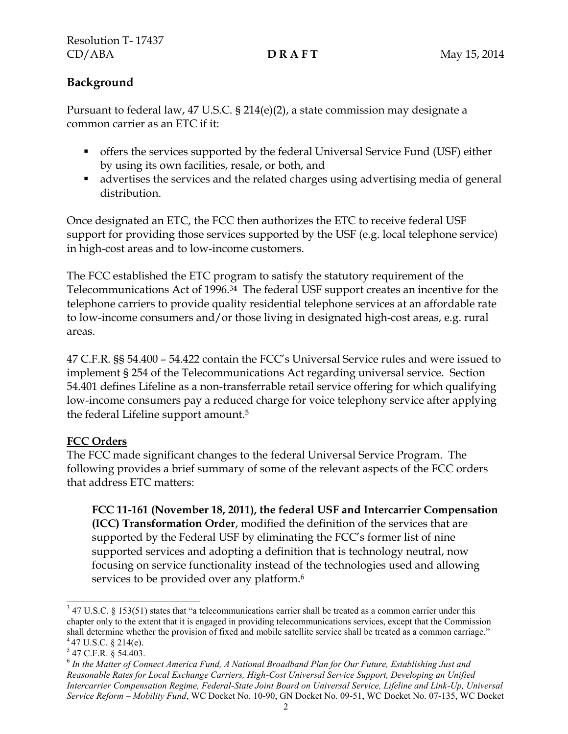# **Background**

Pursuant to federal law, 47 U.S.C. § 214(e)(2), a state commission may designate a common carrier as an ETC if it:

- offers the services supported by the federal Universal Service Fund (USF) either by using its own facilities, resale, or both, and
- advertises the services and the related charges using advertising media of general distribution.

Once designated an ETC, the FCC then authorizes the ETC to receive federal USF support for providing those services supported by the USF (e.g. local telephone service) in high-cost areas and to low-income customers.

The FCC established the ETC program to satisfy the statutory requirement of the Telecommunications Act of 1996.3**<sup>4</sup>** The federal USF support creates an incentive for the telephone carriers to provide quality residential telephone services at an affordable rate to low-income consumers and/or those living in designated high-cost areas, e.g. rural areas.

47 C.F.R. §§ 54.400 – 54.422 contain the FCC's Universal Service rules and were issued to implement § 254 of the Telecommunications Act regarding universal service. Section 54.401 defines Lifeline as a non-transferrable retail service offering for which qualifying low-income consumers pay a reduced charge for voice telephony service after applying the federal Lifeline support amount.<sup>5</sup>

# **FCC Orders**

The FCC made significant changes to the federal Universal Service Program. The following provides a brief summary of some of the relevant aspects of the FCC orders that address ETC matters:

**FCC 11-161 (November 18, 2011), the federal USF and Intercarrier Compensation (ICC) Transformation Order**, modified the definition of the services that are supported by the Federal USF by eliminating the FCC's former list of nine supported services and adopting a definition that is technology neutral, now focusing on service functionality instead of the technologies used and allowing services to be provided over any platform.<sup>6</sup>

l  $347$  U.S.C. § 153(51) states that "a telecommunications carrier shall be treated as a common carrier under this chapter only to the extent that it is engaged in providing telecommunications services, except that the Commission shall determine whether the provision of fixed and mobile satellite service shall be treated as a common carriage."  $447$  U.S.C. § 214(e).

<sup>5</sup> 47 C.F.R. § 54.403.

<sup>&</sup>lt;sup>6</sup> In the Matter of Connect America Fund, A National Broadband Plan for Our Future, Establishing Just and *Reasonable Rates for Local Exchange Carriers, High-Cost Universal Service Support, Developing an Unified Intercarrier Compensation Regime, Federal-State Joint Board on Universal Service, Lifeline and Link-Up, Universal Service Reform – Mobility Fund*, WC Docket No. 10-90, GN Docket No. 09-51, WC Docket No. 07-135, WC Docket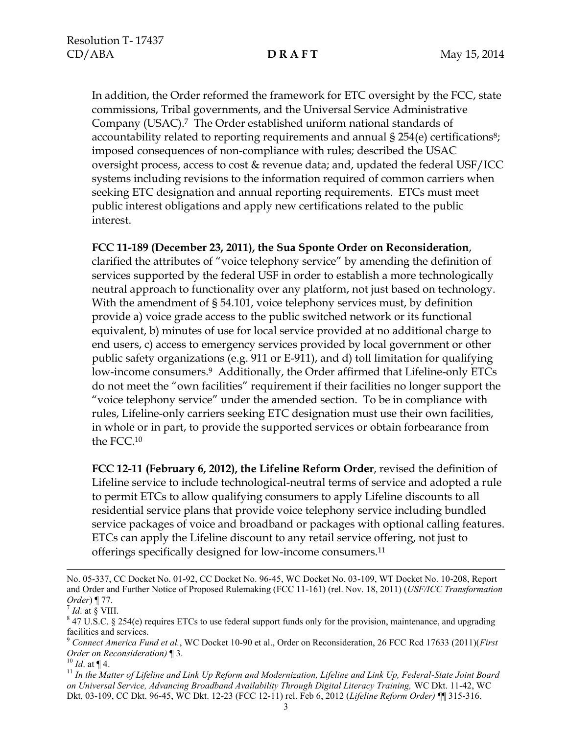In addition, the Order reformed the framework for ETC oversight by the FCC, state commissions, Tribal governments, and the Universal Service Administrative Company (USAC).7 The Order established uniform national standards of accountability related to reporting requirements and annual § 254(e) certifications<sup>8</sup>; imposed consequences of non-compliance with rules; described the USAC oversight process, access to cost & revenue data; and, updated the federal USF/ICC systems including revisions to the information required of common carriers when seeking ETC designation and annual reporting requirements. ETCs must meet public interest obligations and apply new certifications related to the public interest.

### **FCC 11-189 (December 23, 2011), the Sua Sponte Order on Reconsideration**,

clarified the attributes of "voice telephony service" by amending the definition of services supported by the federal USF in order to establish a more technologically neutral approach to functionality over any platform, not just based on technology. With the amendment of § 54.101, voice telephony services must, by definition provide a) voice grade access to the public switched network or its functional equivalent, b) minutes of use for local service provided at no additional charge to end users, c) access to emergency services provided by local government or other public safety organizations (e.g. 911 or E-911), and d) toll limitation for qualifying low-income consumers.<sup>9</sup> Additionally, the Order affirmed that Lifeline-only ETCs do not meet the "own facilities" requirement if their facilities no longer support the "voice telephony service" under the amended section. To be in compliance with rules, Lifeline-only carriers seeking ETC designation must use their own facilities, in whole or in part, to provide the supported services or obtain forbearance from the FCC.<sup>10</sup>

**FCC 12-11 (February 6, 2012), the Lifeline Reform Order**, revised the definition of Lifeline service to include technological-neutral terms of service and adopted a rule to permit ETCs to allow qualifying consumers to apply Lifeline discounts to all residential service plans that provide voice telephony service including bundled service packages of voice and broadband or packages with optional calling features. ETCs can apply the Lifeline discount to any retail service offering, not just to offerings specifically designed for low-income consumers.<sup>11</sup>

l

 $^{10}$  *Id.* at ¶ 4.

No. 05-337, CC Docket No. 01-92, CC Docket No. 96-45, WC Docket No. 03-109, WT Docket No. 10-208, Report and Order and Further Notice of Proposed Rulemaking (FCC 11-161) (rel. Nov. 18, 2011) (*USF/ICC Transformation Order*) ¶ 77.

 $^7$  *Id.* at § VIII.

 $8$  47 U.S.C. § 254(e) requires ETCs to use federal support funds only for the provision, maintenance, and upgrading facilities and services.

<sup>9</sup> *Connect America Fund et al.*, WC Docket 10-90 et al., Order on Reconsideration, 26 FCC Rcd 17633 (2011)(*First Order on Reconsideration)* ¶ 3.

<sup>&</sup>lt;sup>11</sup> In the Matter of Lifeline and Link Up Reform and Modernization, Lifeline and Link Up, Federal-State Joint Board *on Universal Service, Advancing Broadband Availability Through Digital Literacy Training,* WC Dkt. 11-42, WC Dkt. 03-109, CC Dkt. 96-45, WC Dkt. 12-23 (FCC 12-11) rel. Feb 6, 2012 (*Lifeline Reform Order)* ¶¶ 315-316.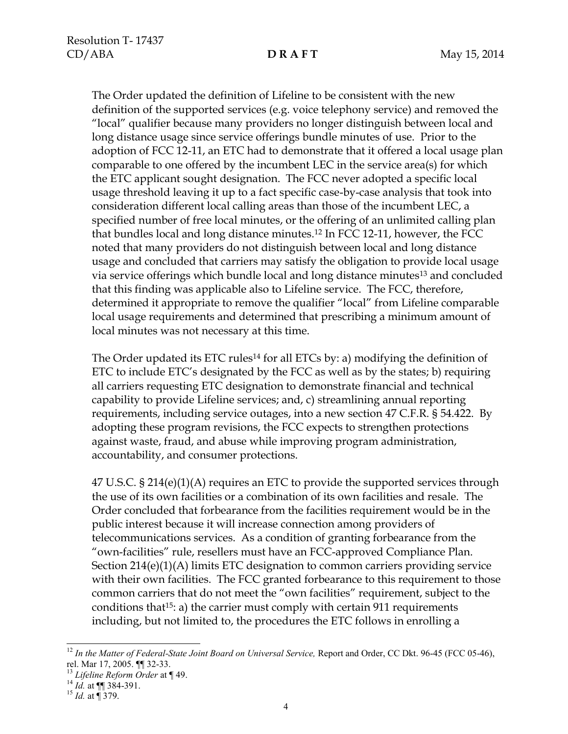The Order updated the definition of Lifeline to be consistent with the new definition of the supported services (e.g. voice telephony service) and removed the "local" qualifier because many providers no longer distinguish between local and long distance usage since service offerings bundle minutes of use. Prior to the adoption of FCC 12-11, an ETC had to demonstrate that it offered a local usage plan comparable to one offered by the incumbent LEC in the service area(s) for which the ETC applicant sought designation. The FCC never adopted a specific local usage threshold leaving it up to a fact specific case-by-case analysis that took into consideration different local calling areas than those of the incumbent LEC, a specified number of free local minutes, or the offering of an unlimited calling plan that bundles local and long distance minutes.<sup>12</sup> In FCC 12-11, however, the FCC noted that many providers do not distinguish between local and long distance usage and concluded that carriers may satisfy the obligation to provide local usage via service offerings which bundle local and long distance minutes<sup>13</sup> and concluded that this finding was applicable also to Lifeline service. The FCC, therefore, determined it appropriate to remove the qualifier "local" from Lifeline comparable local usage requirements and determined that prescribing a minimum amount of local minutes was not necessary at this time.

The Order updated its ETC rules<sup>14</sup> for all ETCs by: a) modifying the definition of ETC to include ETC's designated by the FCC as well as by the states; b) requiring all carriers requesting ETC designation to demonstrate financial and technical capability to provide Lifeline services; and, c) streamlining annual reporting requirements, including service outages, into a new section 47 C.F.R. § 54.422. By adopting these program revisions, the FCC expects to strengthen protections against waste, fraud, and abuse while improving program administration, accountability, and consumer protections.

47 U.S.C. § 214(e)(1)(A) requires an ETC to provide the supported services through the use of its own facilities or a combination of its own facilities and resale. The Order concluded that forbearance from the facilities requirement would be in the public interest because it will increase connection among providers of telecommunications services. As a condition of granting forbearance from the "own-facilities" rule, resellers must have an FCC-approved Compliance Plan. Section 214(e)(1)(A) limits ETC designation to common carriers providing service with their own facilities. The FCC granted forbearance to this requirement to those common carriers that do not meet the "own facilities" requirement, subject to the conditions that15: a) the carrier must comply with certain 911 requirements including, but not limited to, the procedures the ETC follows in enrolling a

 $\overline{a}$ 

<sup>&</sup>lt;sup>12</sup> In the Matter of Federal-State Joint Board on Universal Service, Report and Order, CC Dkt. 96-45 (FCC 05-46), rel. Mar 17, 2005. ¶¶ 32-33.

<sup>13</sup> *Lifeline Reform Order* at ¶ 49.

 $^{14}$  *Id.* at  $\P\P$  384-391.

<sup>15</sup> *Id.* at ¶ 379.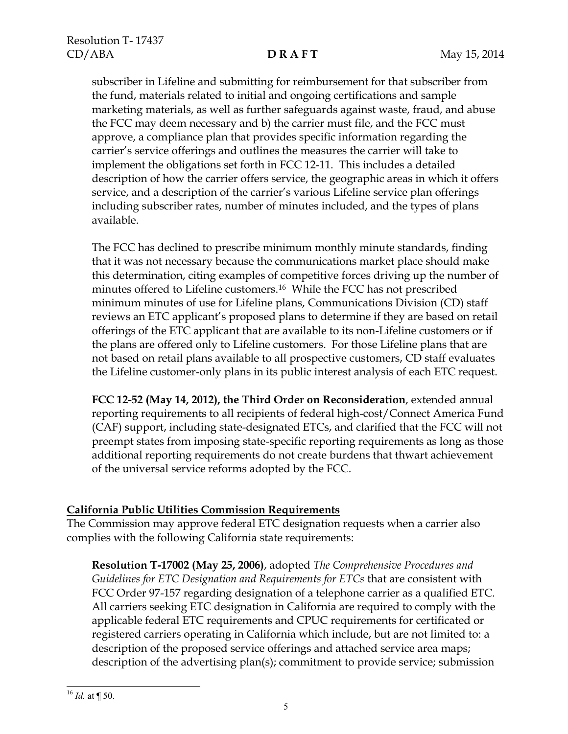subscriber in Lifeline and submitting for reimbursement for that subscriber from the fund, materials related to initial and ongoing certifications and sample marketing materials, as well as further safeguards against waste, fraud, and abuse the FCC may deem necessary and b) the carrier must file, and the FCC must approve, a compliance plan that provides specific information regarding the carrier's service offerings and outlines the measures the carrier will take to implement the obligations set forth in FCC 12-11. This includes a detailed description of how the carrier offers service, the geographic areas in which it offers service, and a description of the carrier's various Lifeline service plan offerings including subscriber rates, number of minutes included, and the types of plans available.

The FCC has declined to prescribe minimum monthly minute standards, finding that it was not necessary because the communications market place should make this determination, citing examples of competitive forces driving up the number of minutes offered to Lifeline customers.<sup>16</sup> While the FCC has not prescribed minimum minutes of use for Lifeline plans, Communications Division (CD) staff reviews an ETC applicant's proposed plans to determine if they are based on retail offerings of the ETC applicant that are available to its non-Lifeline customers or if the plans are offered only to Lifeline customers. For those Lifeline plans that are not based on retail plans available to all prospective customers, CD staff evaluates the Lifeline customer-only plans in its public interest analysis of each ETC request.

**FCC 12-52 (May 14, 2012), the Third Order on Reconsideration**, extended annual reporting requirements to all recipients of federal high-cost/Connect America Fund (CAF) support, including state-designated ETCs, and clarified that the FCC will not preempt states from imposing state-specific reporting requirements as long as those additional reporting requirements do not create burdens that thwart achievement of the universal service reforms adopted by the FCC.

# **California Public Utilities Commission Requirements**

The Commission may approve federal ETC designation requests when a carrier also complies with the following California state requirements:

**Resolution T-17002 (May 25, 2006)**, adopted *The Comprehensive Procedures and Guidelines for ETC Designation and Requirements for ETCs* that are consistent with FCC Order 97-157 regarding designation of a telephone carrier as a qualified ETC. All carriers seeking ETC designation in California are required to comply with the applicable federal ETC requirements and CPUC requirements for certificated or registered carriers operating in California which include, but are not limited to: a description of the proposed service offerings and attached service area maps; description of the advertising plan(s); commitment to provide service; submission

 $\overline{a}$  $^{16}$  *Id.* at ¶ 50.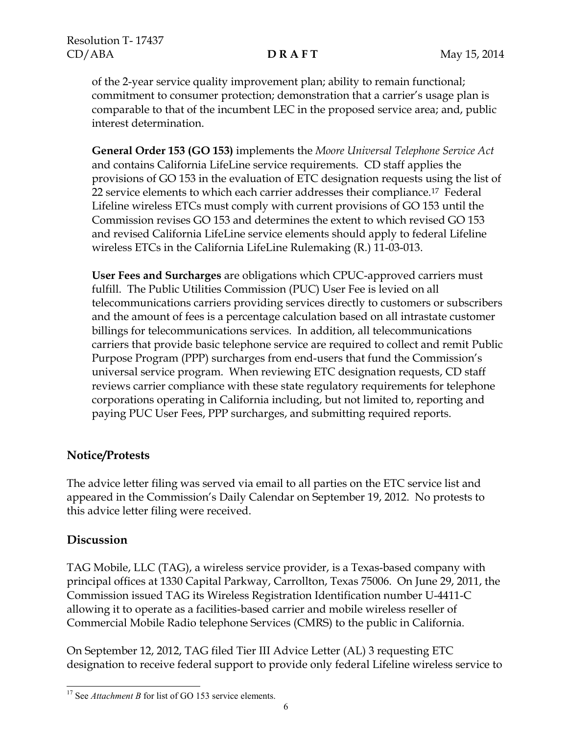of the 2-year service quality improvement plan; ability to remain functional; commitment to consumer protection; demonstration that a carrier's usage plan is comparable to that of the incumbent LEC in the proposed service area; and, public interest determination.

**General Order 153 (GO 153)** implements the *Moore Universal Telephone Service Act* and contains California LifeLine service requirements. CD staff applies the provisions of GO 153 in the evaluation of ETC designation requests using the list of 22 service elements to which each carrier addresses their compliance.17 Federal Lifeline wireless ETCs must comply with current provisions of GO 153 until the Commission revises GO 153 and determines the extent to which revised GO 153 and revised California LifeLine service elements should apply to federal Lifeline wireless ETCs in the California LifeLine Rulemaking (R.) 11-03-013.

**User Fees and Surcharges** are obligations which CPUC-approved carriers must fulfill. The Public Utilities Commission (PUC) User Fee is levied on all telecommunications carriers providing services directly to customers or subscribers and the amount of fees is a percentage calculation based on all intrastate customer billings for telecommunications services. In addition, all telecommunications carriers that provide basic telephone service are required to collect and remit Public Purpose Program (PPP) surcharges from end-users that fund the Commission's universal service program. When reviewing ETC designation requests, CD staff reviews carrier compliance with these state regulatory requirements for telephone corporations operating in California including, but not limited to, reporting and paying PUC User Fees, PPP surcharges, and submitting required reports.

# **Notice/Protests**

The advice letter filing was served via email to all parties on the ETC service list and appeared in the Commission's Daily Calendar on September 19, 2012. No protests to this advice letter filing were received.

# **Discussion**

TAG Mobile, LLC (TAG), a wireless service provider, is a Texas-based company with principal offices at 1330 Capital Parkway, Carrollton, Texas 75006. On June 29, 2011, the Commission issued TAG its Wireless Registration Identification number U-4411-C allowing it to operate as a facilities-based carrier and mobile wireless reseller of Commercial Mobile Radio telephone Services (CMRS) to the public in California.

On September 12, 2012, TAG filed Tier III Advice Letter (AL) 3 requesting ETC designation to receive federal support to provide only federal Lifeline wireless service to

 $\overline{a}$ <sup>17</sup> See *Attachment B* for list of GO 153 service elements.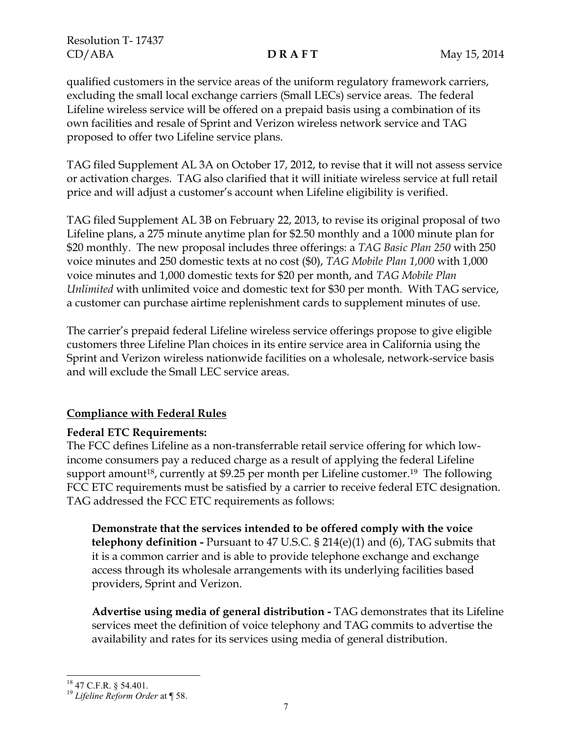Resolution T- 17437 CD/ABA **D R A F T** May 15, 2014

qualified customers in the service areas of the uniform regulatory framework carriers, excluding the small local exchange carriers (Small LECs) service areas. The federal Lifeline wireless service will be offered on a prepaid basis using a combination of its own facilities and resale of Sprint and Verizon wireless network service and TAG proposed to offer two Lifeline service plans.

TAG filed Supplement AL 3A on October 17, 2012, to revise that it will not assess service or activation charges. TAG also clarified that it will initiate wireless service at full retail price and will adjust a customer's account when Lifeline eligibility is verified.

TAG filed Supplement AL 3B on February 22, 2013, to revise its original proposal of two Lifeline plans, a 275 minute anytime plan for \$2.50 monthly and a 1000 minute plan for \$20 monthly. The new proposal includes three offerings: a *TAG Basic Plan 250* with 250 voice minutes and 250 domestic texts at no cost (\$0), *TAG Mobile Plan 1,000* with 1,000 voice minutes and 1,000 domestic texts for \$20 per month, and *TAG Mobile Plan Unlimited* with unlimited voice and domestic text for \$30 per month. With TAG service, a customer can purchase airtime replenishment cards to supplement minutes of use.

The carrier's prepaid federal Lifeline wireless service offerings propose to give eligible customers three Lifeline Plan choices in its entire service area in California using the Sprint and Verizon wireless nationwide facilities on a wholesale, network-service basis and will exclude the Small LEC service areas.

# **Compliance with Federal Rules**

# **Federal ETC Requirements:**

The FCC defines Lifeline as a non-transferrable retail service offering for which lowincome consumers pay a reduced charge as a result of applying the federal Lifeline support amount<sup>18</sup>, currently at \$9.25 per month per Lifeline customer.<sup>19</sup> The following FCC ETC requirements must be satisfied by a carrier to receive federal ETC designation. TAG addressed the FCC ETC requirements as follows:

**Demonstrate that the services intended to be offered comply with the voice telephony definition -** Pursuant to 47 U.S.C. § 214(e)(1) and (6), TAG submits that it is a common carrier and is able to provide telephone exchange and exchange access through its wholesale arrangements with its underlying facilities based providers, Sprint and Verizon.

**Advertise using media of general distribution -** TAG demonstrates that its Lifeline services meet the definition of voice telephony and TAG commits to advertise the availability and rates for its services using media of general distribution.

 $\overline{a}$ 

<sup>19</sup> *Lifeline Reform Order* at ¶ 58.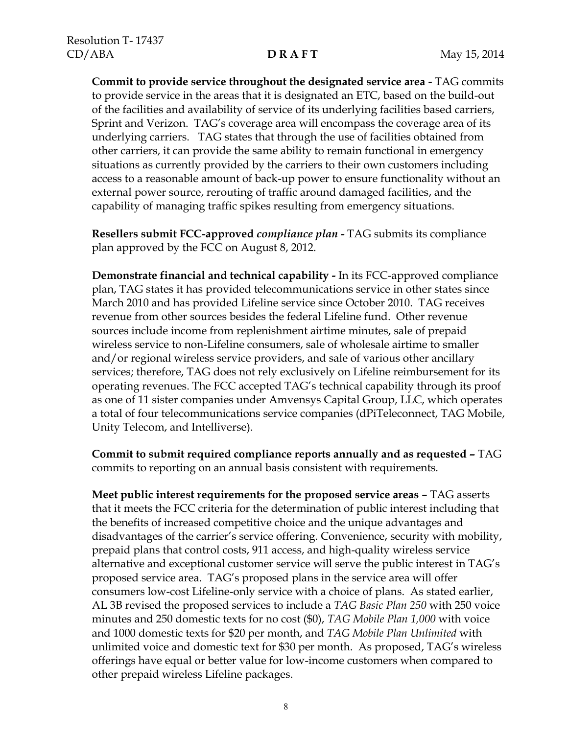**Commit to provide service throughout the designated service area -** TAG commits to provide service in the areas that it is designated an ETC, based on the build-out of the facilities and availability of service of its underlying facilities based carriers, Sprint and Verizon. TAG's coverage area will encompass the coverage area of its underlying carriers. TAG states that through the use of facilities obtained from other carriers, it can provide the same ability to remain functional in emergency situations as currently provided by the carriers to their own customers including access to a reasonable amount of back-up power to ensure functionality without an external power source, rerouting of traffic around damaged facilities, and the capability of managing traffic spikes resulting from emergency situations.

**Resellers submit FCC-approved** *compliance plan* **-** TAG submits its compliance plan approved by the FCC on August 8, 2012.

**Demonstrate financial and technical capability -** In its FCC-approved compliance plan, TAG states it has provided telecommunications service in other states since March 2010 and has provided Lifeline service since October 2010. TAG receives revenue from other sources besides the federal Lifeline fund. Other revenue sources include income from replenishment airtime minutes, sale of prepaid wireless service to non-Lifeline consumers, sale of wholesale airtime to smaller and/or regional wireless service providers, and sale of various other ancillary services; therefore, TAG does not rely exclusively on Lifeline reimbursement for its operating revenues. The FCC accepted TAG's technical capability through its proof as one of 11 sister companies under Amvensys Capital Group, LLC, which operates a total of four telecommunications service companies (dPiTeleconnect, TAG Mobile, Unity Telecom, and Intelliverse).

**Commit to submit required compliance reports annually and as requested –** TAG commits to reporting on an annual basis consistent with requirements.

**Meet public interest requirements for the proposed service areas –** TAG asserts that it meets the FCC criteria for the determination of public interest including that the benefits of increased competitive choice and the unique advantages and disadvantages of the carrier's service offering. Convenience, security with mobility, prepaid plans that control costs, 911 access, and high-quality wireless service alternative and exceptional customer service will serve the public interest in TAG's proposed service area. TAG's proposed plans in the service area will offer consumers low-cost Lifeline-only service with a choice of plans. As stated earlier, AL 3B revised the proposed services to include a *TAG Basic Plan 250* with 250 voice minutes and 250 domestic texts for no cost (\$0), *TAG Mobile Plan 1,000* with voice and 1000 domestic texts for \$20 per month, and *TAG Mobile Plan Unlimited* with unlimited voice and domestic text for \$30 per month. As proposed, TAG's wireless offerings have equal or better value for low-income customers when compared to other prepaid wireless Lifeline packages.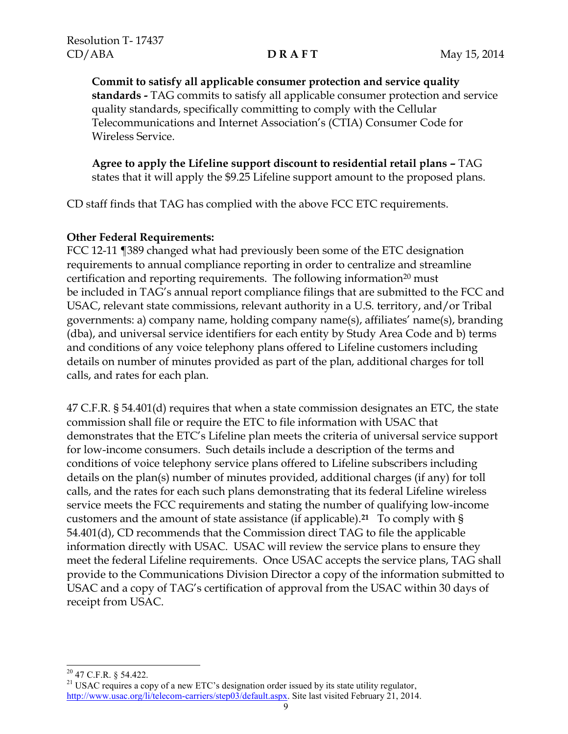**Commit to satisfy all applicable consumer protection and service quality standards -** TAG commits to satisfy all applicable consumer protection and service quality standards, specifically committing to comply with the Cellular Telecommunications and Internet Association's (CTIA) Consumer Code for Wireless Service.

**Agree to apply the Lifeline support discount to residential retail plans –** TAG states that it will apply the \$9.25 Lifeline support amount to the proposed plans.

CD staff finds that TAG has complied with the above FCC ETC requirements.

### **Other Federal Requirements:**

FCC 12-11 ¶389 changed what had previously been some of the ETC designation requirements to annual compliance reporting in order to centralize and streamline certification and reporting requirements. The following information<sup>20</sup> must be included in TAG's annual report compliance filings that are submitted to the FCC and USAC, relevant state commissions, relevant authority in a U.S. territory, and/or Tribal governments: a) company name, holding company name(s), affiliates' name(s), branding (dba), and universal service identifiers for each entity by Study Area Code and b) terms and conditions of any voice telephony plans offered to Lifeline customers including details on number of minutes provided as part of the plan, additional charges for toll calls, and rates for each plan.

47 C.F.R. § 54.401(d) requires that when a state commission designates an ETC, the state commission shall file or require the ETC to file information with USAC that demonstrates that the ETC's Lifeline plan meets the criteria of universal service support for low-income consumers. Such details include a description of the terms and conditions of voice telephony service plans offered to Lifeline subscribers including details on the plan(s) number of minutes provided, additional charges (if any) for toll calls, and the rates for each such plans demonstrating that its federal Lifeline wireless service meets the FCC requirements and stating the number of qualifying low-income customers and the amount of state assistance (if applicable). **<sup>21</sup>** To comply with § 54.401(d), CD recommends that the Commission direct TAG to file the applicable information directly with USAC. USAC will review the service plans to ensure they meet the federal Lifeline requirements. Once USAC accepts the service plans, TAG shall provide to the Communications Division Director a copy of the information submitted to USAC and a copy of TAG's certification of approval from the USAC within 30 days of receipt from USAC.

l  $20$  47 C.F.R. § 54.422.

<sup>&</sup>lt;sup>21</sup> USAC requires a copy of a new ETC's designation order issued by its state utility regulator, [http://www.usac.org/li/telecom-carriers/step03/default.aspx.](http://www.usac.org/li/telecom-carriers/step03/default.aspx) Site last visited February 21, 2014.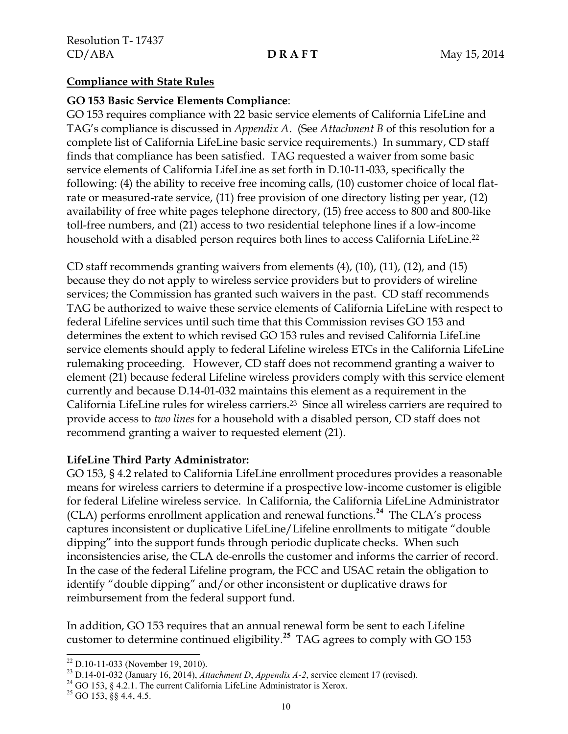### **Compliance with State Rules**

### **GO 153 Basic Service Elements Compliance**:

GO 153 requires compliance with 22 basic service elements of California LifeLine and TAG's compliance is discussed in *Appendix A*. (See *Attachment B* of this resolution for a complete list of California LifeLine basic service requirements.) In summary, CD staff finds that compliance has been satisfied. TAG requested a waiver from some basic service elements of California LifeLine as set forth in D.10-11-033, specifically the following: (4) the ability to receive free incoming calls, (10) customer choice of local flatrate or measured-rate service, (11) free provision of one directory listing per year, (12) availability of free white pages telephone directory, (15) free access to 800 and 800-like toll-free numbers, and (21) access to two residential telephone lines if a low-income household with a disabled person requires both lines to access California LifeLine. 22

CD staff recommends granting waivers from elements (4), (10), (11), (12), and (15) because they do not apply to wireless service providers but to providers of wireline services; the Commission has granted such waivers in the past. CD staff recommends TAG be authorized to waive these service elements of California LifeLine with respect to federal Lifeline services until such time that this Commission revises GO 153 and determines the extent to which revised GO 153 rules and revised California LifeLine service elements should apply to federal Lifeline wireless ETCs in the California LifeLine rulemaking proceeding. However, CD staff does not recommend granting a waiver to element (21) because federal Lifeline wireless providers comply with this service element currently and because D.14-01-032 maintains this element as a requirement in the California LifeLine rules for wireless carriers.23 Since all wireless carriers are required to provide access to *two lines* for a household with a disabled person, CD staff does not recommend granting a waiver to requested element (21).

### **LifeLine Third Party Administrator:**

GO 153, § 4.2 related to California LifeLine enrollment procedures provides a reasonable means for wireless carriers to determine if a prospective low-income customer is eligible for federal Lifeline wireless service. In California, the California LifeLine Administrator (CLA) performs enrollment application and renewal functions. **24** The CLA's process captures inconsistent or duplicative LifeLine/Lifeline enrollments to mitigate "double dipping" into the support funds through periodic duplicate checks. When such inconsistencies arise, the CLA de-enrolls the customer and informs the carrier of record. In the case of the federal Lifeline program, the FCC and USAC retain the obligation to identify "double dipping" and/or other inconsistent or duplicative draws for reimbursement from the federal support fund.

In addition, GO 153 requires that an annual renewal form be sent to each Lifeline customer to determine continued eligibility.**<sup>25</sup>** TAG agrees to comply with GO 153

 $\overline{\phantom{a}}$ 

 $22$  D.10-11-033 (November 19, 2010).

<sup>23</sup> D.14-01-032 (January 16, 2014), *Attachment D*, *Appendix A-2*, service element 17 (revised).

 $^{24}$  GO 153, § 4.2.1. The current California LifeLine Administrator is Xerox.

 $25$  GO 153, §§ 4.4, 4.5.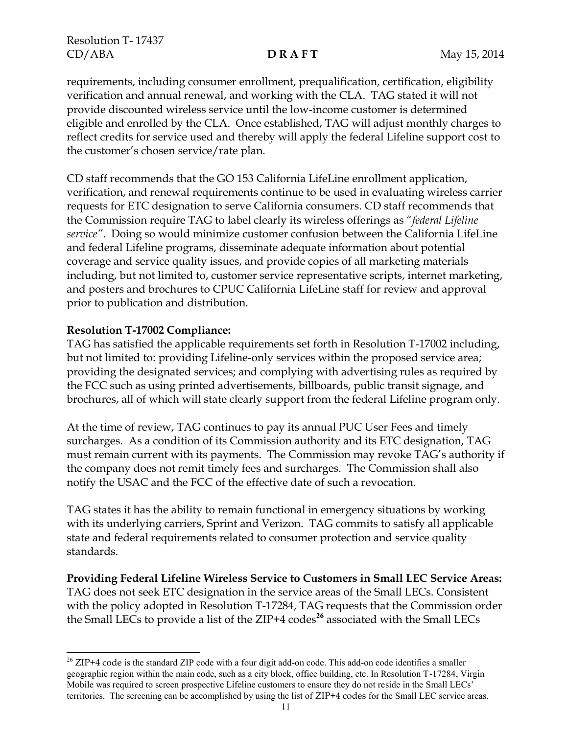Resolution T- 17437 CD/ABA **D R A F T** May 15, 2014

requirements, including consumer enrollment, prequalification, certification, eligibility verification and annual renewal, and working with the CLA. TAG stated it will not provide discounted wireless service until the low-income customer is determined eligible and enrolled by the CLA. Once established, TAG will adjust monthly charges to reflect credits for service used and thereby will apply the federal Lifeline support cost to the customer's chosen service/rate plan.

CD staff recommends that the GO 153 California LifeLine enrollment application, verification, and renewal requirements continue to be used in evaluating wireless carrier requests for ETC designation to serve California consumers. CD staff recommends that the Commission require TAG to label clearly its wireless offerings as "*federal Lifeline service"*. Doing so would minimize customer confusion between the California LifeLine and federal Lifeline programs, disseminate adequate information about potential coverage and service quality issues, and provide copies of all marketing materials including, but not limited to, customer service representative scripts, internet marketing, and posters and brochures to CPUC California LifeLine staff for review and approval prior to publication and distribution.

### **Resolution T-17002 Compliance:**

 $\overline{\phantom{a}}$ 

TAG has satisfied the applicable requirements set forth in Resolution T-17002 including, but not limited to: providing Lifeline-only services within the proposed service area; providing the designated services; and complying with advertising rules as required by the FCC such as using printed advertisements, billboards, public transit signage, and brochures, all of which will state clearly support from the federal Lifeline program only.

At the time of review, TAG continues to pay its annual PUC User Fees and timely surcharges. As a condition of its Commission authority and its ETC designation, TAG must remain current with its payments. The Commission may revoke TAG's authority if the company does not remit timely fees and surcharges. The Commission shall also notify the USAC and the FCC of the effective date of such a revocation.

TAG states it has the ability to remain functional in emergency situations by working with its underlying carriers, Sprint and Verizon. TAG commits to satisfy all applicable state and federal requirements related to consumer protection and service quality standards.

**Providing Federal Lifeline Wireless Service to Customers in Small LEC Service Areas:** TAG does not seek ETC designation in the service areas of the Small LECs. Consistent with the policy adopted in Resolution T-17284, TAG requests that the Commission order the Small LECs to provide a list of the ZIP+4 codes**<sup>26</sup>** associated with the Small LECs

<sup>&</sup>lt;sup>26</sup> ZIP+4 code is the standard ZIP code with a four digit add-on code. This add-on code identifies a smaller geographic region within the main code, such as a city block, office building, etc. In Resolution T-17284, Virgin Mobile was required to screen prospective Lifeline customers to ensure they do not reside in the Small LECs' territories. The screening can be accomplished by using the list of ZIP+4 codes for the Small LEC service areas.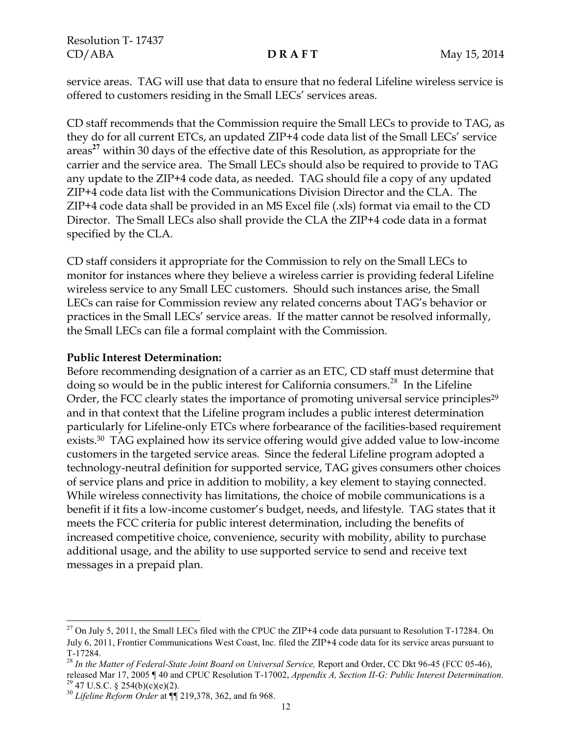Resolution T- 17437 CD/ABA **D R A F T** May 15, 2014

service areas. TAG will use that data to ensure that no federal Lifeline wireless service is offered to customers residing in the Small LECs' services areas.

CD staff recommends that the Commission require the Small LECs to provide to TAG, as they do for all current ETCs, an updated ZIP+4 code data list of the Small LECs' service areas**<sup>27</sup>** within 30 days of the effective date of this Resolution, as appropriate for the carrier and the service area. The Small LECs should also be required to provide to TAG any update to the ZIP+4 code data, as needed. TAG should file a copy of any updated ZIP+4 code data list with the Communications Division Director and the CLA. The ZIP+4 code data shall be provided in an MS Excel file (.xls) format via email to the CD Director. The Small LECs also shall provide the CLA the ZIP+4 code data in a format specified by the CLA.

CD staff considers it appropriate for the Commission to rely on the Small LECs to monitor for instances where they believe a wireless carrier is providing federal Lifeline wireless service to any Small LEC customers. Should such instances arise, the Small LECs can raise for Commission review any related concerns about TAG's behavior or practices in the Small LECs' service areas. If the matter cannot be resolved informally, the Small LECs can file a formal complaint with the Commission.

### **Public Interest Determination:**

Before recommending designation of a carrier as an ETC, CD staff must determine that doing so would be in the public interest for California consumers.<sup>28</sup> In the Lifeline Order, the FCC clearly states the importance of promoting universal service principles<sup>29</sup> and in that context that the Lifeline program includes a public interest determination particularly for Lifeline-only ETCs where forbearance of the facilities-based requirement exists.30 TAG explained how its service offering would give added value to low-income customers in the targeted service areas. Since the federal Lifeline program adopted a technology-neutral definition for supported service, TAG gives consumers other choices of service plans and price in addition to mobility, a key element to staying connected. While wireless connectivity has limitations, the choice of mobile communications is a benefit if it fits a low-income customer's budget, needs, and lifestyle. TAG states that it meets the FCC criteria for public interest determination, including the benefits of increased competitive choice, convenience, security with mobility, ability to purchase additional usage, and the ability to use supported service to send and receive text messages in a prepaid plan.

 $\overline{\phantom{a}}$ 

 $^{27}$  On July 5, 2011, the Small LECs filed with the CPUC the ZIP+4 code data pursuant to Resolution T-17284. On July 6, 2011, Frontier Communications West Coast, Inc. filed the ZIP+4 code data for its service areas pursuant to T-17284.

<sup>&</sup>lt;sup>28</sup> In the Matter of Federal-State Joint Board on Universal Service, Report and Order, CC Dkt 96-45 (FCC 05-46), released Mar 17, 2005 ¶ 40 and CPUC Resolution T-17002, *Appendix A, Section II-G: Public Interest Determination.*

 $29$  47 U.S.C. § 254(b)(c)(e)(2).

<sup>30</sup> *Lifeline Reform Order* at ¶¶ 219,378, 362, and fn 968.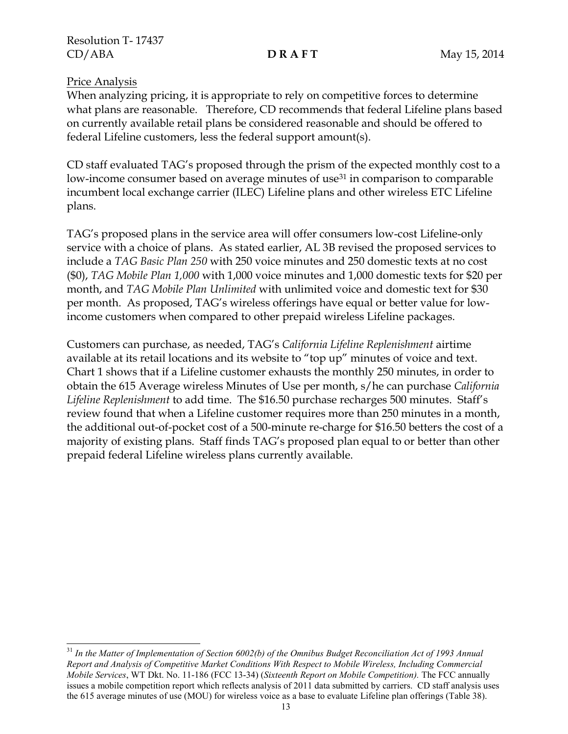### Price Analysis

When analyzing pricing, it is appropriate to rely on competitive forces to determine what plans are reasonable. Therefore, CD recommends that federal Lifeline plans based on currently available retail plans be considered reasonable and should be offered to federal Lifeline customers, less the federal support amount(s).

CD staff evaluated TAG's proposed through the prism of the expected monthly cost to a low-income consumer based on average minutes of use<sup>31</sup> in comparison to comparable incumbent local exchange carrier (ILEC) Lifeline plans and other wireless ETC Lifeline plans.

TAG's proposed plans in the service area will offer consumers low-cost Lifeline-only service with a choice of plans. As stated earlier, AL 3B revised the proposed services to include a *TAG Basic Plan 250* with 250 voice minutes and 250 domestic texts at no cost (\$0), *TAG Mobile Plan 1,000* with 1,000 voice minutes and 1,000 domestic texts for \$20 per month, and *TAG Mobile Plan Unlimited* with unlimited voice and domestic text for \$30 per month. As proposed, TAG's wireless offerings have equal or better value for lowincome customers when compared to other prepaid wireless Lifeline packages.

Customers can purchase, as needed, TAG's *California Lifeline Replenishment* airtime available at its retail locations and its website to "top up" minutes of voice and text. Chart 1 shows that if a Lifeline customer exhausts the monthly 250 minutes, in order to obtain the 615 Average wireless Minutes of Use per month, s/he can purchase *California Lifeline Replenishment* to add time. The \$16.50 purchase recharges 500 minutes. Staff's review found that when a Lifeline customer requires more than 250 minutes in a month, the additional out-of-pocket cost of a 500-minute re-charge for \$16.50 betters the cost of a majority of existing plans. Staff finds TAG's proposed plan equal to or better than other prepaid federal Lifeline wireless plans currently available.

 $\overline{\phantom{a}}$ <sup>31</sup> *In the Matter of Implementation of Section 6002(b) of the Omnibus Budget Reconciliation Act of 1993 Annual Report and Analysis of Competitive Market Conditions With Respect to Mobile Wireless, Including Commercial Mobile Services*, WT Dkt. No. 11-186 (FCC 13-34) (*Sixteenth Report on Mobile Competition).* The FCC annually issues a mobile competition report which reflects analysis of 2011 data submitted by carriers. CD staff analysis uses the 615 average minutes of use (MOU) for wireless voice as a base to evaluate Lifeline plan offerings (Table 38).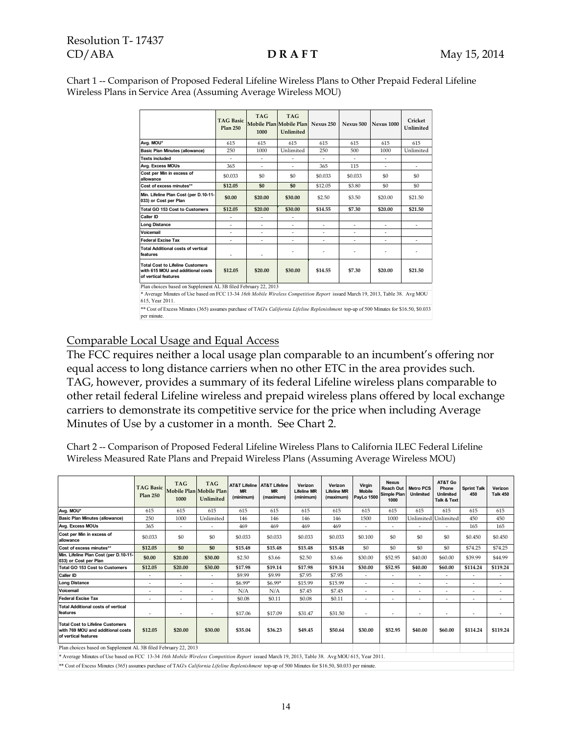### Resolution T- 17437 CD/ABA **D R A F T** May 15, 2014

Chart 1 -- Comparison of Proposed Federal Lifeline Wireless Plans to Other Prepaid Federal Lifeline Wireless Plans in Service Area (Assuming Average Wireless MOU)

|                                                                                                                                                                                                                   | <b>TAG Basic</b><br><b>Plan 250</b> | <b>TAG</b><br>1000 | <b>TAG</b><br>Mobile Plan Mobile Plan<br>Unlimited | Nexus 250 | Nexus 500 | <b>Nexus 1000</b> | Cricket<br>Unlimited |  |  |
|-------------------------------------------------------------------------------------------------------------------------------------------------------------------------------------------------------------------|-------------------------------------|--------------------|----------------------------------------------------|-----------|-----------|-------------------|----------------------|--|--|
| Avg. MOU*                                                                                                                                                                                                         | 615                                 | 615                | 615                                                | 615       | 615       | 615               | 615                  |  |  |
| <b>Basic Plan Minutes (allowance)</b>                                                                                                                                                                             | 250                                 | 1000               | Unlimited                                          | 250       | 500       | 1000              | Unlimited            |  |  |
| <b>Texts included</b>                                                                                                                                                                                             |                                     | L,                 |                                                    | ä,        |           |                   |                      |  |  |
| Avg. Excess MOUs                                                                                                                                                                                                  | 365                                 | ä,                 | ٠                                                  | 365       | 115       | ÷.                | ÷.                   |  |  |
| Cost per Min in excess of<br>allowance                                                                                                                                                                            | \$0.033                             | \$0                | \$0                                                | \$0.033   | \$0.033   | \$0               | \$0                  |  |  |
| Cost of excess minutes**                                                                                                                                                                                          | \$12.05                             | \$0                | \$0                                                | \$12.05   | \$3.80    | \$0               | \$0                  |  |  |
| Min. Lifeline Plan Cost (per D.10-11-<br>033) or Cost per Plan                                                                                                                                                    | \$0.00                              | \$20.00            | \$30.00                                            | \$2.50    | \$3.50    | \$20.00           | \$21.50              |  |  |
| <b>Total GO 153 Cost to Customers</b>                                                                                                                                                                             | \$12.05                             | \$20.00            | \$30.00                                            | \$14.55   | \$7.30    | \$20.00           | \$21.50              |  |  |
| Caller ID                                                                                                                                                                                                         |                                     |                    |                                                    |           |           |                   |                      |  |  |
| <b>Long Distance</b>                                                                                                                                                                                              |                                     |                    |                                                    | ٠         |           | ÷                 |                      |  |  |
| Voicemail                                                                                                                                                                                                         | $\sim$                              | ٠                  | $\sim$                                             | ٠         | ٠         |                   |                      |  |  |
| <b>Federal Excise Tax</b>                                                                                                                                                                                         | ٠                                   | ä,                 | ٠                                                  | ä,        | ä,        | ÷.                | ÷.                   |  |  |
| <b>Total Additional costs of vertical</b><br>features                                                                                                                                                             | ٠                                   | ٠                  |                                                    |           |           |                   |                      |  |  |
| <b>Total Cost to Lifeline Customers</b><br>with 615 MOU and additional costs<br>of vertical features                                                                                                              | \$12.05                             | \$20.00            | \$30.00                                            | \$14.55   | \$7.30    | \$20.00           | \$21.50              |  |  |
| Plan choices based on Supplement AL 3B filed February 22, 2013<br>* Average Minutes of Use based on FCC 13-34 16th Mobile Wireless Competition Report issued March 19, 2013, Table 38. Avg MOU<br>615, Year 2011. |                                     |                    |                                                    |           |           |                   |                      |  |  |
|                                                                                                                                                                                                                   |                                     |                    |                                                    |           |           |                   |                      |  |  |

\*\* Cost of Excess Minutes (365) assumes purchase of TAG's *California Lifeline Replenishment* top-up of 500 Minutes for \$16.50, \$0.033 per minute.

# Comparable Local Usage and Equal Access

The FCC requires neither a local usage plan comparable to an incumbent's offering nor equal access to long distance carriers when no other ETC in the area provides such. TAG, however, provides a summary of its federal Lifeline wireless plans comparable to other retail federal Lifeline wireless and prepaid wireless plans offered by local exchange carriers to demonstrate its competitive service for the price when including Average Minutes of Use by a customer in a month. See Chart 2.

Chart 2 -- Comparison of Proposed Federal Lifeline Wireless Plans to California ILEC Federal Lifeline Wireless Measured Rate Plans and Prepaid Wireless Plans (Assuming Average Wireless MOU)

|                                                                                                      | <b>TAG Basic</b><br><b>Plan 250</b> | <b>TAG</b><br>Mobile Plan Mobile Plan<br>1000 | <b>TAG</b><br>Unlimited  | <b>AT&amp;T Lifeline   AT&amp;T Lifeline</b><br><b>MR</b><br>(minimum) | <b>MR</b><br>(maximum) | Verizon<br><b>Lifeline MR</b><br>(minimum) | Verizon<br><b>Lifeline MR</b><br>(maximum) | Virgin<br><b>Mobile</b><br><b>PayLo 1500</b> | <b>Nexus</b><br>Reach Out<br>Simple Plan<br>1000 | <b>Metro PCS</b><br>Unlimited | AT&T Go<br>Phone<br><b>Unlimited</b><br>Talk & Text | <b>Sprint Talk</b><br>450 | Verizon<br><b>Talk 450</b> |
|------------------------------------------------------------------------------------------------------|-------------------------------------|-----------------------------------------------|--------------------------|------------------------------------------------------------------------|------------------------|--------------------------------------------|--------------------------------------------|----------------------------------------------|--------------------------------------------------|-------------------------------|-----------------------------------------------------|---------------------------|----------------------------|
| Avg. MOU*                                                                                            | 615                                 | 615                                           | 615                      | 615                                                                    | 615                    | 615                                        | 615                                        | 615                                          | 615                                              | 615                           | 615                                                 | 615                       | 615                        |
| Basic Plan Minutes (allowance)                                                                       | 250                                 | 1000                                          | Unlimited                | 146                                                                    | 146                    | 146                                        | 146                                        | 1500                                         | 1000                                             | Unlimited                     | Unlimited                                           | 450                       | 450                        |
| Avg. Excess MOUs                                                                                     | 365                                 | ٠                                             |                          | 469                                                                    | 469                    | 469                                        | 469                                        | ÷                                            |                                                  |                               |                                                     | 165                       | 165                        |
| Cost per Min in excess of<br>allowance                                                               | \$0.033                             | \$0                                           | \$0                      | \$0.033                                                                | \$0.033                | \$0.033                                    | \$0.033                                    | \$0.100                                      | \$0                                              | \$0                           | \$0                                                 | \$0.450                   | \$0.450                    |
| Cost of excess minutes**                                                                             | \$12.05                             | \$0                                           | \$0                      | \$15.48                                                                | \$15.48                | \$15.48                                    | \$15.48                                    | \$0                                          | \$0                                              | \$0                           | \$0                                                 | \$74.25                   | \$74.25                    |
| Min. Lifeline Plan Cost (per D.10-11-<br>033) or Cost per Plan                                       | \$0.00                              | \$20.00                                       | \$30.00                  | \$2.50                                                                 | \$3.66                 | \$2.50                                     | \$3.66                                     | \$30.00                                      | \$52.95                                          | \$40.00                       | \$60.00                                             | \$39.99                   | \$44.99                    |
| Total GO 153 Cost to Customers                                                                       | \$12.05                             | \$20.00                                       | \$30.00                  | \$17.98                                                                | \$19.14                | \$17.98                                    | \$19.14                                    | \$30.00                                      | \$52.95                                          | \$40.00                       | \$60.00                                             | \$114.24                  | \$119.24                   |
| <b>Caller ID</b>                                                                                     | $\sim$                              | ٠                                             | $\sim$                   | \$9.99                                                                 | \$9.99                 | \$7.95                                     | \$7.95                                     | $\sim$                                       | $\overline{\phantom{a}}$                         | $\sim$                        | $\overline{\phantom{a}}$                            | $\overline{\phantom{a}}$  | $\sim$                     |
| <b>Long Distance</b>                                                                                 | $\sim$                              | ٠                                             | $\overline{\phantom{a}}$ | \$6.99*                                                                | \$6.99*                | \$15.99                                    | \$15.99                                    | $\sim$                                       |                                                  | ÷,                            | $\overline{\phantom{a}}$                            | $\overline{\phantom{a}}$  | $\sim$                     |
| Voicemail                                                                                            | $\overline{\phantom{a}}$            | ٠                                             | $\overline{\phantom{a}}$ | N/A                                                                    | N/A                    | \$7.45                                     | \$7.45                                     | $\sim$                                       |                                                  | ۰                             |                                                     | ٠                         | ٠                          |
| <b>Federal Excise Tax</b>                                                                            | $\overline{\phantom{a}}$            | ٠                                             |                          | \$0.08                                                                 | \$0.11                 | \$0.08                                     | \$0.11                                     | $\overline{\phantom{a}}$                     |                                                  |                               |                                                     | $\overline{\phantom{a}}$  | $\overline{\phantom{a}}$   |
| <b>Total Additional costs of vertical</b><br>features                                                | $\overline{\phantom{a}}$            | $\overline{\phantom{a}}$                      | $\overline{\phantom{a}}$ | \$17.06                                                                | \$17.09                | \$31.47                                    | \$31.50                                    | $\sim$                                       | $\overline{\phantom{a}}$                         | ٠                             | $\overline{\phantom{a}}$                            | $\overline{\phantom{a}}$  | $\overline{\phantom{a}}$   |
| <b>Total Cost to Lifeline Customers</b><br>with 769 MOU and additional costs<br>of vertical features | \$12.05                             | \$20.00                                       | \$30.00                  | \$35.04                                                                | \$36.23                | \$49.45                                    | \$50.64                                    | \$30.00                                      | \$52.95                                          | \$40.00                       | \$60.00                                             | \$114.24                  | \$119.24                   |
| Plan choices based on Supplement AL 3B filed February 22, 2013                                       |                                     |                                               |                          |                                                                        |                        |                                            |                                            |                                              |                                                  |                               |                                                     |                           |                            |

\* Average Minutes of Use based on FCC 13-34 *16th Mobile Wireless Competition Report* issued March 19, 2013, Table 38. Avg MOU 615, Year 2011.

\*\* Cost of Excess Minutes (365) assumes purchase of TAG's *California Lifeline Replenishment* top-up of 500 Minutes for \$16.50, \$0.033 per minute.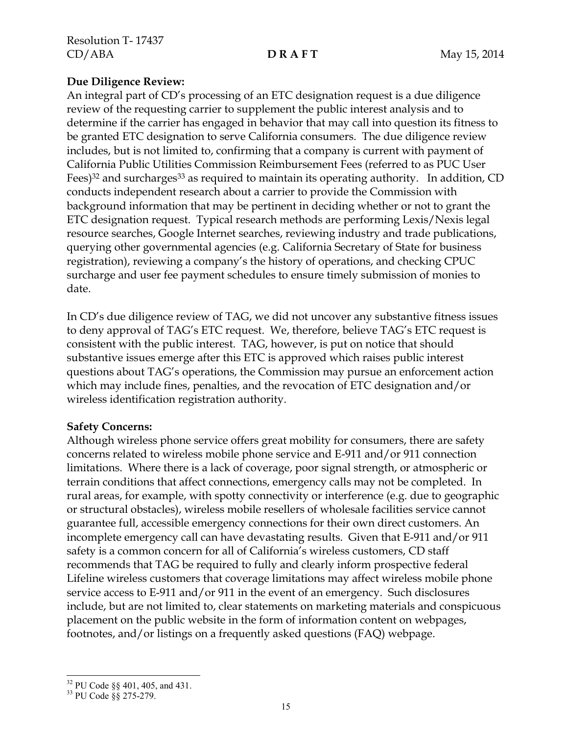## **Due Diligence Review:**

An integral part of CD's processing of an ETC designation request is a due diligence review of the requesting carrier to supplement the public interest analysis and to determine if the carrier has engaged in behavior that may call into question its fitness to be granted ETC designation to serve California consumers. The due diligence review includes, but is not limited to, confirming that a company is current with payment of California Public Utilities Commission Reimbursement Fees (referred to as PUC User Fees)<sup>32</sup> and surcharges<sup>33</sup> as required to maintain its operating authority. In addition, CD conducts independent research about a carrier to provide the Commission with background information that may be pertinent in deciding whether or not to grant the ETC designation request. Typical research methods are performing Lexis/Nexis legal resource searches, Google Internet searches, reviewing industry and trade publications, querying other governmental agencies (e.g. California Secretary of State for business registration), reviewing a company's the history of operations, and checking CPUC surcharge and user fee payment schedules to ensure timely submission of monies to date.

In CD's due diligence review of TAG, we did not uncover any substantive fitness issues to deny approval of TAG's ETC request. We, therefore, believe TAG's ETC request is consistent with the public interest. TAG, however, is put on notice that should substantive issues emerge after this ETC is approved which raises public interest questions about TAG's operations, the Commission may pursue an enforcement action which may include fines, penalties, and the revocation of ETC designation and/or wireless identification registration authority.

### **Safety Concerns:**

Although wireless phone service offers great mobility for consumers, there are safety concerns related to wireless mobile phone service and E-911 and/or 911 connection limitations. Where there is a lack of coverage, poor signal strength, or atmospheric or terrain conditions that affect connections, emergency calls may not be completed. In rural areas, for example, with spotty connectivity or interference (e.g. due to geographic or structural obstacles), wireless mobile resellers of wholesale facilities service cannot guarantee full, accessible emergency connections for their own direct customers. An incomplete emergency call can have devastating results. Given that E-911 and/or 911 safety is a common concern for all of California's wireless customers, CD staff recommends that TAG be required to fully and clearly inform prospective federal Lifeline wireless customers that coverage limitations may affect wireless mobile phone service access to E-911 and/or 911 in the event of an emergency. Such disclosures include, but are not limited to, clear statements on marketing materials and conspicuous placement on the public website in the form of information content on webpages, footnotes, and/or listings on a frequently asked questions (FAQ) webpage.

 $\overline{\phantom{a}}$  $32$  PU Code §§ 401, 405, and 431.

<sup>33</sup> PU Code §§ 275-279.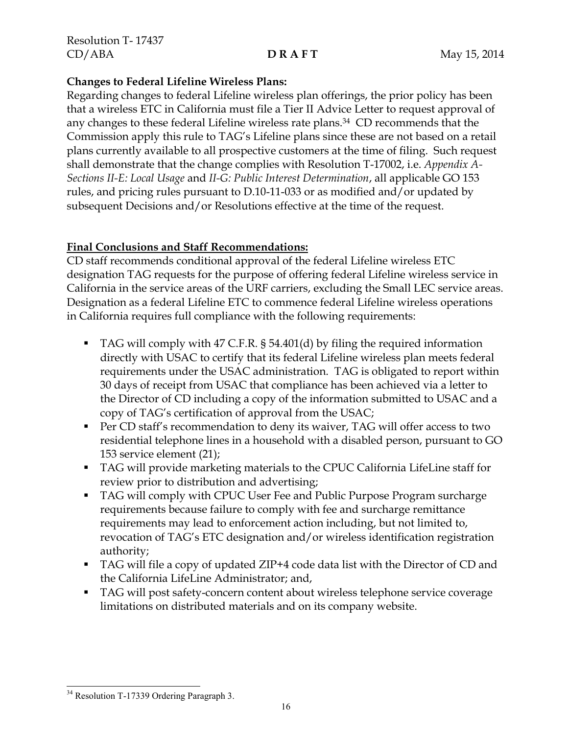## **Changes to Federal Lifeline Wireless Plans:**

Regarding changes to federal Lifeline wireless plan offerings, the prior policy has been that a wireless ETC in California must file a Tier II Advice Letter to request approval of any changes to these federal Lifeline wireless rate plans.34 CD recommends that the Commission apply this rule to TAG's Lifeline plans since these are not based on a retail plans currently available to all prospective customers at the time of filing. Such request shall demonstrate that the change complies with Resolution T-17002, i.e. *Appendix A-Sections II-E: Local Usage* and *II-G: Public Interest Determination*, all applicable GO 153 rules, and pricing rules pursuant to D.10-11-033 or as modified and/or updated by subsequent Decisions and/or Resolutions effective at the time of the request.

# **Final Conclusions and Staff Recommendations:**

CD staff recommends conditional approval of the federal Lifeline wireless ETC designation TAG requests for the purpose of offering federal Lifeline wireless service in California in the service areas of the URF carriers, excluding the Small LEC service areas. Designation as a federal Lifeline ETC to commence federal Lifeline wireless operations in California requires full compliance with the following requirements:

- TAG will comply with 47 C.F.R. § 54.401(d) by filing the required information directly with USAC to certify that its federal Lifeline wireless plan meets federal requirements under the USAC administration. TAG is obligated to report within 30 days of receipt from USAC that compliance has been achieved via a letter to the Director of CD including a copy of the information submitted to USAC and a copy of TAG's certification of approval from the USAC;
- Per CD staff's recommendation to deny its waiver, TAG will offer access to two residential telephone lines in a household with a disabled person, pursuant to GO 153 service element (21);
- TAG will provide marketing materials to the CPUC California LifeLine staff for review prior to distribution and advertising;
- TAG will comply with CPUC User Fee and Public Purpose Program surcharge requirements because failure to comply with fee and surcharge remittance requirements may lead to enforcement action including, but not limited to, revocation of TAG's ETC designation and/or wireless identification registration authority;
- TAG will file a copy of updated ZIP+4 code data list with the Director of CD and the California LifeLine Administrator; and,
- TAG will post safety-concern content about wireless telephone service coverage limitations on distributed materials and on its company website.

 $\overline{\phantom{a}}$ <sup>34</sup> Resolution T-17339 Ordering Paragraph 3.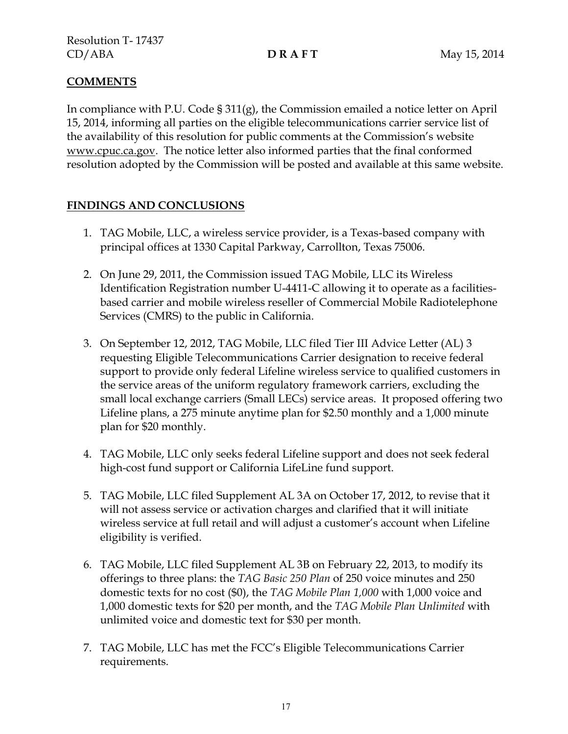# **COMMENTS**

In compliance with P.U. Code § 311(g), the Commission emailed a notice letter on April 15, 2014, informing all parties on the eligible telecommunications carrier service list of the availability of this resolution for public comments at the Commission's website www.cpuc.ca.gov. The notice letter also informed parties that the final conformed resolution adopted by the Commission will be posted and available at this same website.

# **FINDINGS AND CONCLUSIONS**

- 1. TAG Mobile, LLC, a wireless service provider, is a Texas-based company with principal offices at 1330 Capital Parkway, Carrollton, Texas 75006.
- 2. On June 29, 2011, the Commission issued TAG Mobile, LLC its Wireless Identification Registration number U-4411-C allowing it to operate as a facilitiesbased carrier and mobile wireless reseller of Commercial Mobile Radiotelephone Services (CMRS) to the public in California.
- 3. On September 12, 2012, TAG Mobile, LLC filed Tier III Advice Letter (AL) 3 requesting Eligible Telecommunications Carrier designation to receive federal support to provide only federal Lifeline wireless service to qualified customers in the service areas of the uniform regulatory framework carriers, excluding the small local exchange carriers (Small LECs) service areas. It proposed offering two Lifeline plans, a 275 minute anytime plan for \$2.50 monthly and a 1,000 minute plan for \$20 monthly.
- 4. TAG Mobile, LLC only seeks federal Lifeline support and does not seek federal high-cost fund support or California LifeLine fund support.
- 5. TAG Mobile, LLC filed Supplement AL 3A on October 17, 2012, to revise that it will not assess service or activation charges and clarified that it will initiate wireless service at full retail and will adjust a customer's account when Lifeline eligibility is verified.
- 6. TAG Mobile, LLC filed Supplement AL 3B on February 22, 2013, to modify its offerings to three plans: the *TAG Basic 250 Plan* of 250 voice minutes and 250 domestic texts for no cost (\$0), the *TAG Mobile Plan 1,000* with 1,000 voice and 1,000 domestic texts for \$20 per month, and the *TAG Mobile Plan Unlimited* with unlimited voice and domestic text for \$30 per month.
- 7. TAG Mobile, LLC has met the FCC's Eligible Telecommunications Carrier requirements.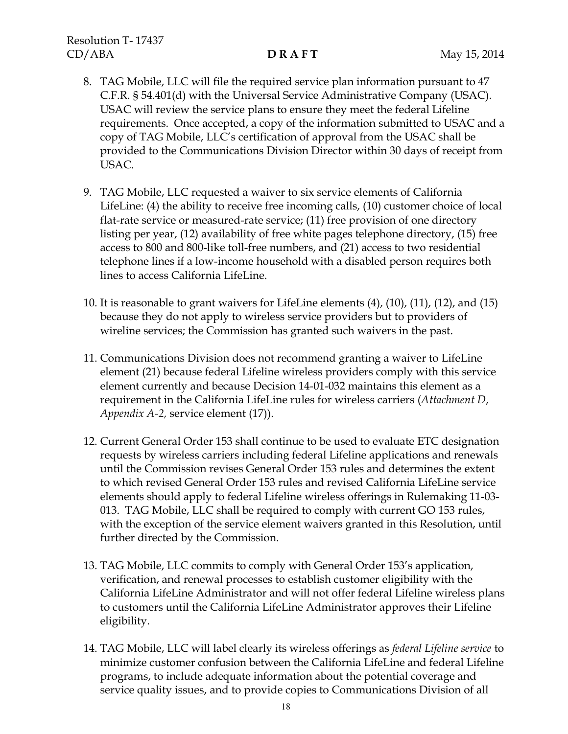- 8. TAG Mobile, LLC will file the required service plan information pursuant to 47 C.F.R. § 54.401(d) with the Universal Service Administrative Company (USAC). USAC will review the service plans to ensure they meet the federal Lifeline requirements. Once accepted, a copy of the information submitted to USAC and a copy of TAG Mobile, LLC's certification of approval from the USAC shall be provided to the Communications Division Director within 30 days of receipt from USAC.
- 9. TAG Mobile, LLC requested a waiver to six service elements of California LifeLine: (4) the ability to receive free incoming calls, (10) customer choice of local flat-rate service or measured-rate service; (11) free provision of one directory listing per year, (12) availability of free white pages telephone directory, (15) free access to 800 and 800-like toll-free numbers, and (21) access to two residential telephone lines if a low-income household with a disabled person requires both lines to access California LifeLine.
- 10. It is reasonable to grant waivers for LifeLine elements (4), (10), (11), (12), and (15) because they do not apply to wireless service providers but to providers of wireline services; the Commission has granted such waivers in the past.
- 11. Communications Division does not recommend granting a waiver to LifeLine element (21) because federal Lifeline wireless providers comply with this service element currently and because Decision 14-01-032 maintains this element as a requirement in the California LifeLine rules for wireless carriers (*Attachment D*, *Appendix A-2,* service element (17)).
- 12. Current General Order 153 shall continue to be used to evaluate ETC designation requests by wireless carriers including federal Lifeline applications and renewals until the Commission revises General Order 153 rules and determines the extent to which revised General Order 153 rules and revised California LifeLine service elements should apply to federal Lifeline wireless offerings in Rulemaking 11-03- 013. TAG Mobile, LLC shall be required to comply with current GO 153 rules, with the exception of the service element waivers granted in this Resolution, until further directed by the Commission.
- 13. TAG Mobile, LLC commits to comply with General Order 153's application, verification, and renewal processes to establish customer eligibility with the California LifeLine Administrator and will not offer federal Lifeline wireless plans to customers until the California LifeLine Administrator approves their Lifeline eligibility.
- 14. TAG Mobile, LLC will label clearly its wireless offerings as *federal Lifeline service* to minimize customer confusion between the California LifeLine and federal Lifeline programs, to include adequate information about the potential coverage and service quality issues, and to provide copies to Communications Division of all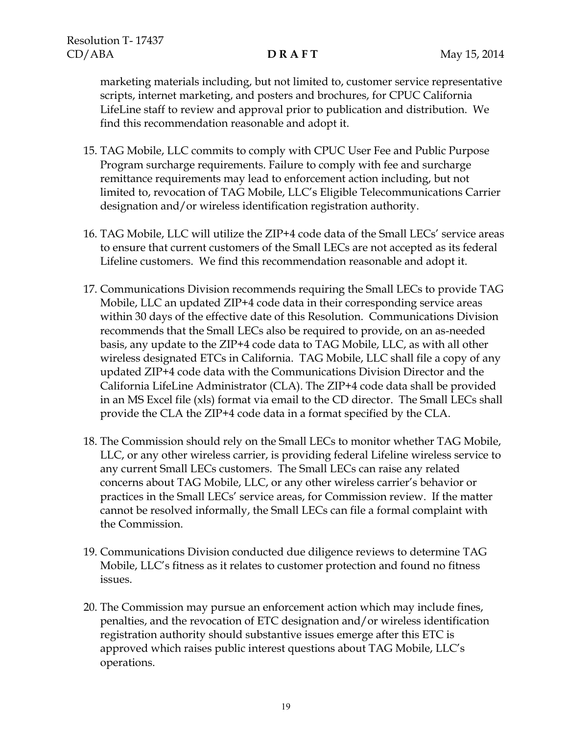marketing materials including, but not limited to, customer service representative scripts, internet marketing, and posters and brochures, for CPUC California LifeLine staff to review and approval prior to publication and distribution. We find this recommendation reasonable and adopt it.

- 15. TAG Mobile, LLC commits to comply with CPUC User Fee and Public Purpose Program surcharge requirements. Failure to comply with fee and surcharge remittance requirements may lead to enforcement action including, but not limited to, revocation of TAG Mobile, LLC's Eligible Telecommunications Carrier designation and/or wireless identification registration authority.
- 16. TAG Mobile, LLC will utilize the ZIP+4 code data of the Small LECs' service areas to ensure that current customers of the Small LECs are not accepted as its federal Lifeline customers. We find this recommendation reasonable and adopt it.
- 17. Communications Division recommends requiring the Small LECs to provide TAG Mobile, LLC an updated ZIP+4 code data in their corresponding service areas within 30 days of the effective date of this Resolution. Communications Division recommends that the Small LECs also be required to provide, on an as-needed basis, any update to the ZIP+4 code data to TAG Mobile, LLC, as with all other wireless designated ETCs in California. TAG Mobile, LLC shall file a copy of any updated ZIP+4 code data with the Communications Division Director and the California LifeLine Administrator (CLA). The ZIP+4 code data shall be provided in an MS Excel file (xls) format via email to the CD director. The Small LECs shall provide the CLA the ZIP+4 code data in a format specified by the CLA.
- 18. The Commission should rely on the Small LECs to monitor whether TAG Mobile, LLC, or any other wireless carrier, is providing federal Lifeline wireless service to any current Small LECs customers. The Small LECs can raise any related concerns about TAG Mobile, LLC, or any other wireless carrier's behavior or practices in the Small LECs' service areas, for Commission review. If the matter cannot be resolved informally, the Small LECs can file a formal complaint with the Commission.
- 19. Communications Division conducted due diligence reviews to determine TAG Mobile, LLC's fitness as it relates to customer protection and found no fitness issues.
- 20. The Commission may pursue an enforcement action which may include fines, penalties, and the revocation of ETC designation and/or wireless identification registration authority should substantive issues emerge after this ETC is approved which raises public interest questions about TAG Mobile, LLC's operations.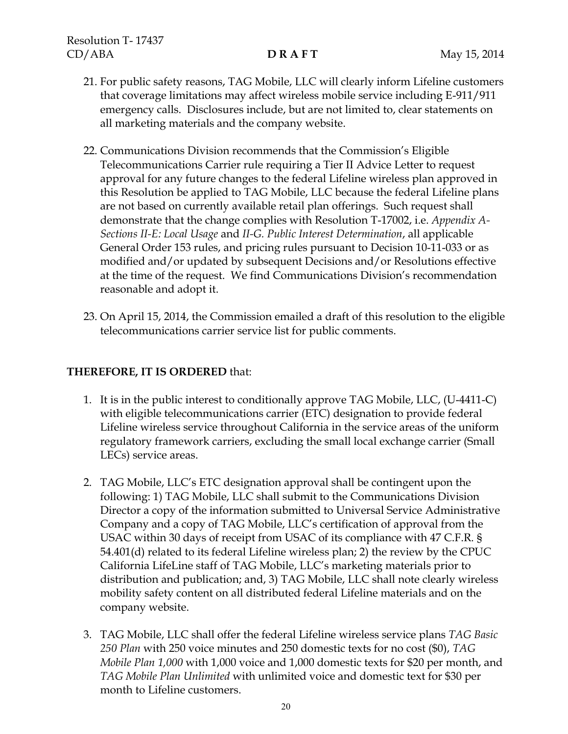- 21. For public safety reasons, TAG Mobile, LLC will clearly inform Lifeline customers that coverage limitations may affect wireless mobile service including E-911/911 emergency calls. Disclosures include, but are not limited to, clear statements on all marketing materials and the company website.
- 22. Communications Division recommends that the Commission's Eligible Telecommunications Carrier rule requiring a Tier II Advice Letter to request approval for any future changes to the federal Lifeline wireless plan approved in this Resolution be applied to TAG Mobile, LLC because the federal Lifeline plans are not based on currently available retail plan offerings. Such request shall demonstrate that the change complies with Resolution T-17002, i.e. *Appendix A-Sections II-E: Local Usage* and *II-G. Public Interest Determination*, all applicable General Order 153 rules, and pricing rules pursuant to Decision 10-11-033 or as modified and/or updated by subsequent Decisions and/or Resolutions effective at the time of the request. We find Communications Division's recommendation reasonable and adopt it.
- 23. On April 15, 2014, the Commission emailed a draft of this resolution to the eligible telecommunications carrier service list for public comments.

## **THEREFORE, IT IS ORDERED** that:

- 1. It is in the public interest to conditionally approve TAG Mobile, LLC, (U-4411-C) with eligible telecommunications carrier (ETC) designation to provide federal Lifeline wireless service throughout California in the service areas of the uniform regulatory framework carriers, excluding the small local exchange carrier (Small LECs) service areas.
- 2. TAG Mobile, LLC's ETC designation approval shall be contingent upon the following: 1) TAG Mobile, LLC shall submit to the Communications Division Director a copy of the information submitted to Universal Service Administrative Company and a copy of TAG Mobile, LLC's certification of approval from the USAC within 30 days of receipt from USAC of its compliance with 47 C.F.R. § 54.401(d) related to its federal Lifeline wireless plan; 2) the review by the CPUC California LifeLine staff of TAG Mobile, LLC's marketing materials prior to distribution and publication; and, 3) TAG Mobile, LLC shall note clearly wireless mobility safety content on all distributed federal Lifeline materials and on the company website.
- 3. TAG Mobile, LLC shall offer the federal Lifeline wireless service plans *TAG Basic 250 Plan* with 250 voice minutes and 250 domestic texts for no cost (\$0), *TAG Mobile Plan 1,000* with 1,000 voice and 1,000 domestic texts for \$20 per month, and *TAG Mobile Plan Unlimited* with unlimited voice and domestic text for \$30 per month to Lifeline customers.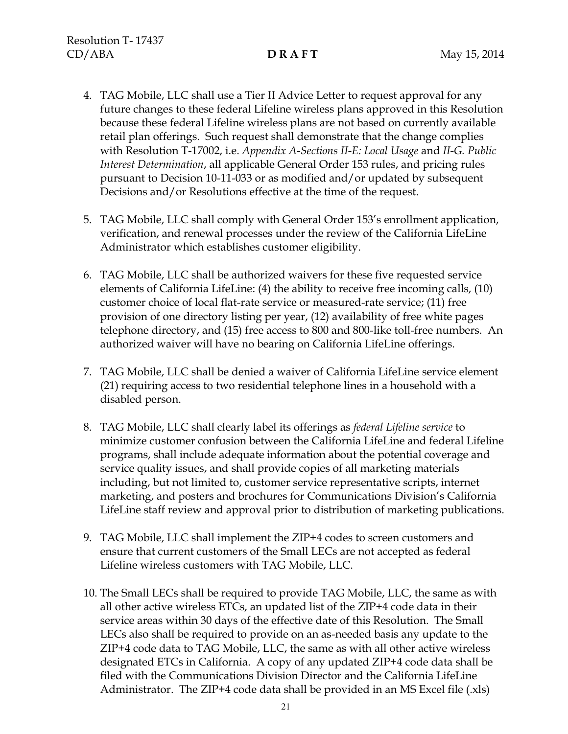- 4. TAG Mobile, LLC shall use a Tier II Advice Letter to request approval for any future changes to these federal Lifeline wireless plans approved in this Resolution because these federal Lifeline wireless plans are not based on currently available retail plan offerings. Such request shall demonstrate that the change complies with Resolution T-17002, i.e. *Appendix A-Sections II-E: Local Usage* and *II-G. Public Interest Determination*, all applicable General Order 153 rules, and pricing rules pursuant to Decision 10-11-033 or as modified and/or updated by subsequent Decisions and/or Resolutions effective at the time of the request.
- 5. TAG Mobile, LLC shall comply with General Order 153's enrollment application, verification, and renewal processes under the review of the California LifeLine Administrator which establishes customer eligibility.
- 6. TAG Mobile, LLC shall be authorized waivers for these five requested service elements of California LifeLine: (4) the ability to receive free incoming calls, (10) customer choice of local flat-rate service or measured-rate service; (11) free provision of one directory listing per year, (12) availability of free white pages telephone directory, and (15) free access to 800 and 800-like toll-free numbers. An authorized waiver will have no bearing on California LifeLine offerings.
- 7. TAG Mobile, LLC shall be denied a waiver of California LifeLine service element (21) requiring access to two residential telephone lines in a household with a disabled person.
- 8. TAG Mobile, LLC shall clearly label its offerings as *federal Lifeline service* to minimize customer confusion between the California LifeLine and federal Lifeline programs, shall include adequate information about the potential coverage and service quality issues, and shall provide copies of all marketing materials including, but not limited to, customer service representative scripts, internet marketing, and posters and brochures for Communications Division's California LifeLine staff review and approval prior to distribution of marketing publications.
- 9. TAG Mobile, LLC shall implement the ZIP+4 codes to screen customers and ensure that current customers of the Small LECs are not accepted as federal Lifeline wireless customers with TAG Mobile, LLC.
- 10. The Small LECs shall be required to provide TAG Mobile, LLC, the same as with all other active wireless ETCs, an updated list of the ZIP+4 code data in their service areas within 30 days of the effective date of this Resolution. The Small LECs also shall be required to provide on an as-needed basis any update to the ZIP+4 code data to TAG Mobile, LLC, the same as with all other active wireless designated ETCs in California. A copy of any updated ZIP+4 code data shall be filed with the Communications Division Director and the California LifeLine Administrator. The ZIP+4 code data shall be provided in an MS Excel file (.xls)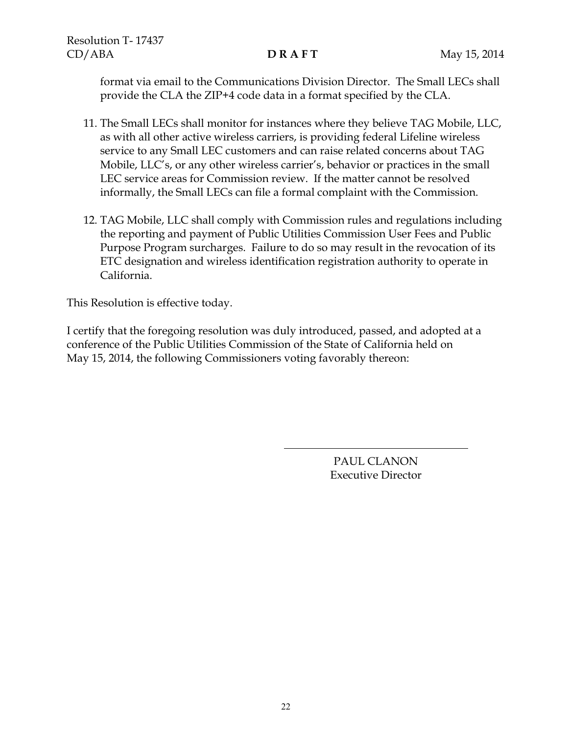format via email to the Communications Division Director. The Small LECs shall provide the CLA the ZIP+4 code data in a format specified by the CLA.

- 11. The Small LECs shall monitor for instances where they believe TAG Mobile, LLC, as with all other active wireless carriers, is providing federal Lifeline wireless service to any Small LEC customers and can raise related concerns about TAG Mobile, LLC's, or any other wireless carrier's, behavior or practices in the small LEC service areas for Commission review. If the matter cannot be resolved informally, the Small LECs can file a formal complaint with the Commission.
- 12. TAG Mobile, LLC shall comply with Commission rules and regulations including the reporting and payment of Public Utilities Commission User Fees and Public Purpose Program surcharges. Failure to do so may result in the revocation of its ETC designation and wireless identification registration authority to operate in California.

This Resolution is effective today.

I certify that the foregoing resolution was duly introduced, passed, and adopted at a conference of the Public Utilities Commission of the State of California held on May 15, 2014, the following Commissioners voting favorably thereon:

> PAUL CLANON Executive Director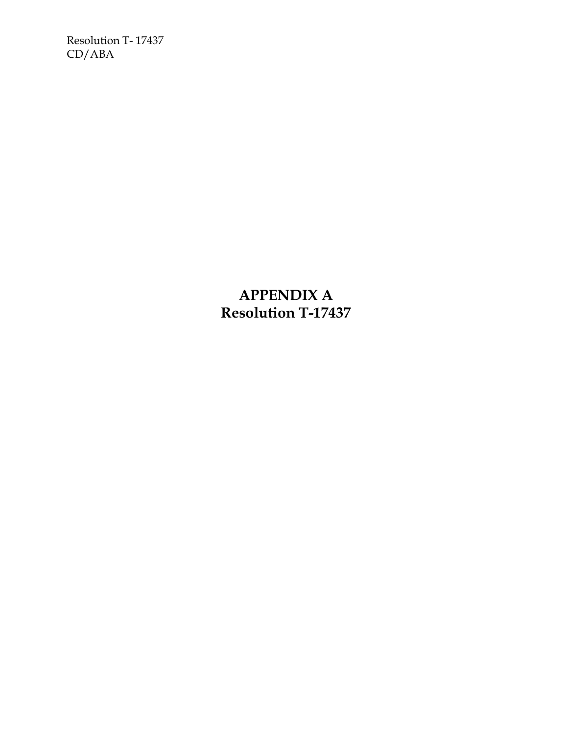Resolution T- 17437 CD/ABA

> **APPENDIX A Resolution T-17437**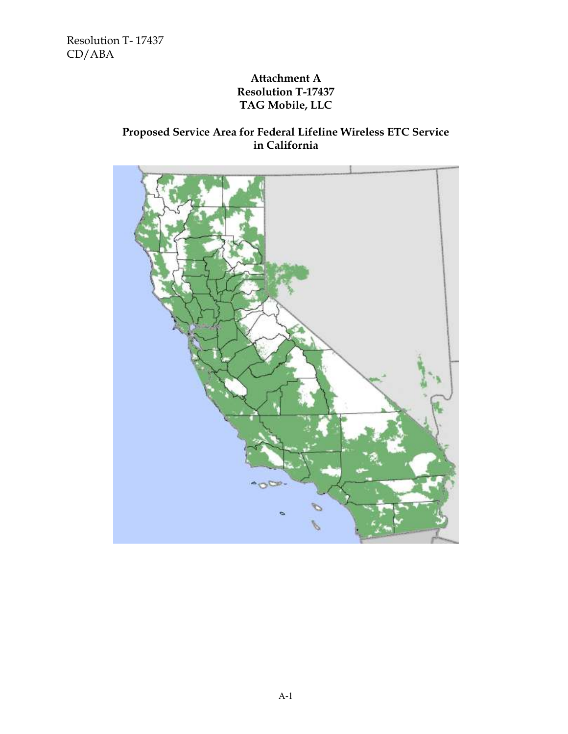Resolution T- 17437 CD/ABA

# **Attachment A Resolution T-17437 TAG Mobile, LLC**

# **Proposed Service Area for Federal Lifeline Wireless ETC Service in California**